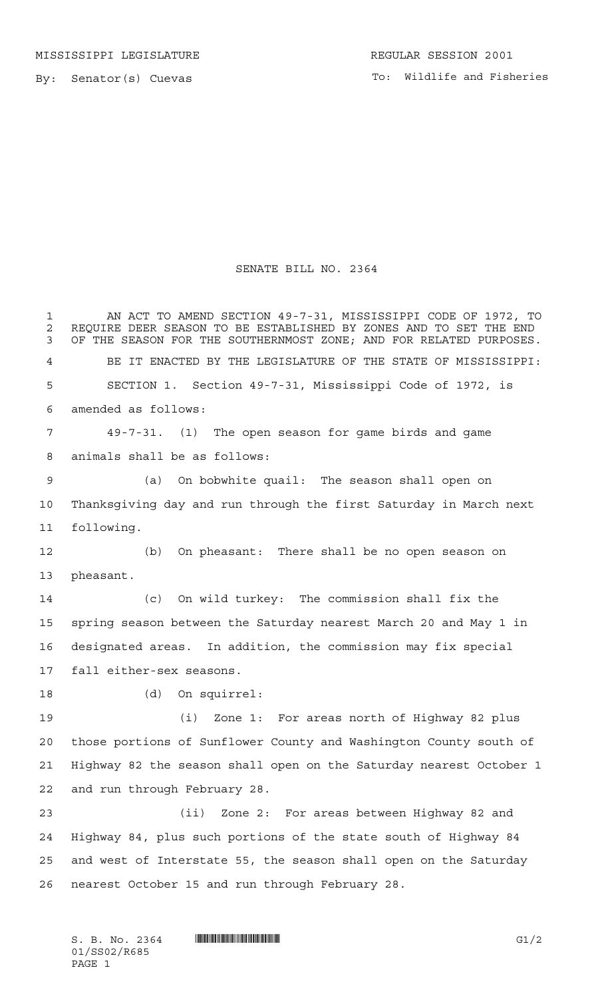## SENATE BILL NO. 2364

 AN ACT TO AMEND SECTION 49-7-31, MISSISSIPPI CODE OF 1972, TO REQUIRE DEER SEASON TO BE ESTABLISHED BY ZONES AND TO SET THE END 3 OF THE SEASON FOR THE SOUTHERNMOST ZONE; AND FOR RELATED PURPOSES. BE IT ENACTED BY THE LEGISLATURE OF THE STATE OF MISSISSIPPI: SECTION 1. Section 49-7-31, Mississippi Code of 1972, is amended as follows: 49-7-31. (1) The open season for game birds and game animals shall be as follows: (a) On bobwhite quail: The season shall open on Thanksgiving day and run through the first Saturday in March next following. (b) On pheasant: There shall be no open season on pheasant. (c) On wild turkey: The commission shall fix the spring season between the Saturday nearest March 20 and May 1 in designated areas. In addition, the commission may fix special fall either-sex seasons. (d) On squirrel: (i) Zone 1: For areas north of Highway 82 plus those portions of Sunflower County and Washington County south of Highway 82 the season shall open on the Saturday nearest October 1 and run through February 28. (ii) Zone 2: For areas between Highway 82 and Highway 84, plus such portions of the state south of Highway 84 and west of Interstate 55, the season shall open on the Saturday nearest October 15 and run through February 28.

 $S. B. No. 2364$  .  $\blacksquare$   $\blacksquare$   $\blacksquare$   $\blacksquare$   $\blacksquare$   $\blacksquare$   $\blacksquare$   $\blacksquare$   $\blacksquare$   $\blacksquare$ 01/SS02/R685 PAGE 1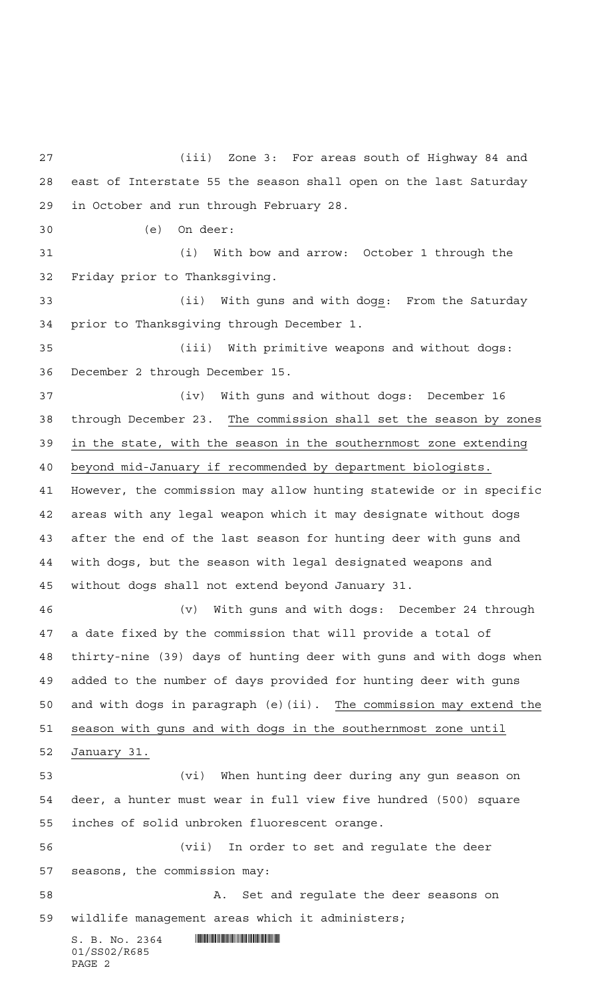$S. B. No. 2364$  . SIND  $\overline{S}$ 01/SS02/R685 PAGE 2 (iii) Zone 3: For areas south of Highway 84 and east of Interstate 55 the season shall open on the last Saturday in October and run through February 28. (e) On deer: (i) With bow and arrow: October 1 through the Friday prior to Thanksgiving. (ii) With guns and with dogs: From the Saturday prior to Thanksgiving through December 1. (iii) With primitive weapons and without dogs: December 2 through December 15. (iv) With guns and without dogs: December 16 through December 23. The commission shall set the season by zones in the state, with the season in the southernmost zone extending beyond mid-January if recommended by department biologists. However, the commission may allow hunting statewide or in specific areas with any legal weapon which it may designate without dogs after the end of the last season for hunting deer with guns and with dogs, but the season with legal designated weapons and without dogs shall not extend beyond January 31. (v) With guns and with dogs: December 24 through a date fixed by the commission that will provide a total of thirty-nine (39) days of hunting deer with guns and with dogs when added to the number of days provided for hunting deer with guns and with dogs in paragraph (e)(ii). The commission may extend the season with guns and with dogs in the southernmost zone until January 31. (vi) When hunting deer during any gun season on deer, a hunter must wear in full view five hundred (500) square inches of solid unbroken fluorescent orange. (vii) In order to set and regulate the deer seasons, the commission may: A. Set and regulate the deer seasons on wildlife management areas which it administers;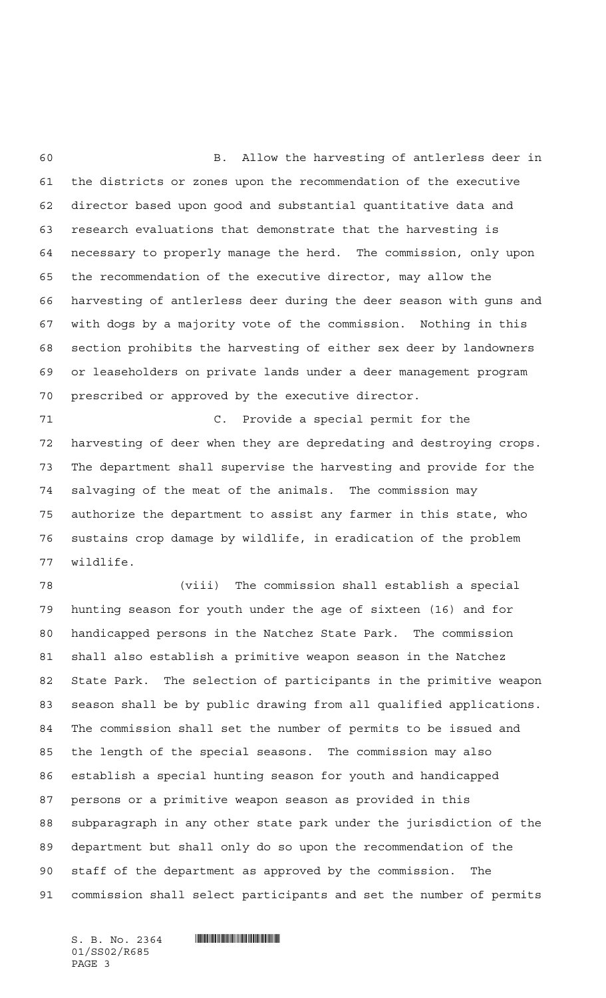B. Allow the harvesting of antlerless deer in the districts or zones upon the recommendation of the executive director based upon good and substantial quantitative data and research evaluations that demonstrate that the harvesting is necessary to properly manage the herd. The commission, only upon the recommendation of the executive director, may allow the harvesting of antlerless deer during the deer season with guns and with dogs by a majority vote of the commission. Nothing in this section prohibits the harvesting of either sex deer by landowners or leaseholders on private lands under a deer management program prescribed or approved by the executive director.

 C. Provide a special permit for the harvesting of deer when they are depredating and destroying crops. The department shall supervise the harvesting and provide for the salvaging of the meat of the animals. The commission may authorize the department to assist any farmer in this state, who sustains crop damage by wildlife, in eradication of the problem wildlife.

 (viii) The commission shall establish a special hunting season for youth under the age of sixteen (16) and for handicapped persons in the Natchez State Park. The commission shall also establish a primitive weapon season in the Natchez State Park. The selection of participants in the primitive weapon season shall be by public drawing from all qualified applications. The commission shall set the number of permits to be issued and the length of the special seasons. The commission may also establish a special hunting season for youth and handicapped persons or a primitive weapon season as provided in this subparagraph in any other state park under the jurisdiction of the department but shall only do so upon the recommendation of the staff of the department as approved by the commission. The commission shall select participants and set the number of permits

01/SS02/R685 PAGE 3

 $S. B. No. 2364$  . So  $R$  and  $R$  and  $R$  and  $R$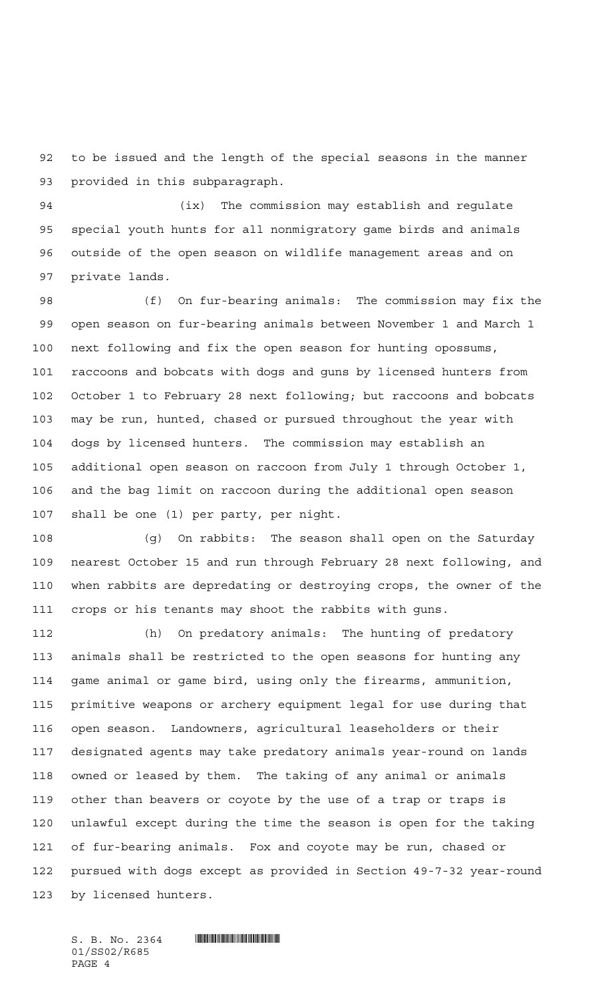to be issued and the length of the special seasons in the manner provided in this subparagraph.

 (ix) The commission may establish and regulate special youth hunts for all nonmigratory game birds and animals outside of the open season on wildlife management areas and on private lands.

 (f) On fur-bearing animals: The commission may fix the open season on fur-bearing animals between November 1 and March 1 next following and fix the open season for hunting opossums, raccoons and bobcats with dogs and guns by licensed hunters from October 1 to February 28 next following; but raccoons and bobcats may be run, hunted, chased or pursued throughout the year with dogs by licensed hunters. The commission may establish an additional open season on raccoon from July 1 through October 1, and the bag limit on raccoon during the additional open season shall be one (1) per party, per night.

 (g) On rabbits: The season shall open on the Saturday nearest October 15 and run through February 28 next following, and when rabbits are depredating or destroying crops, the owner of the crops or his tenants may shoot the rabbits with guns.

 (h) On predatory animals: The hunting of predatory animals shall be restricted to the open seasons for hunting any game animal or game bird, using only the firearms, ammunition, primitive weapons or archery equipment legal for use during that open season. Landowners, agricultural leaseholders or their designated agents may take predatory animals year-round on lands owned or leased by them. The taking of any animal or animals other than beavers or coyote by the use of a trap or traps is unlawful except during the time the season is open for the taking of fur-bearing animals. Fox and coyote may be run, chased or pursued with dogs except as provided in Section 49-7-32 year-round by licensed hunters.

 $S. B. No. 2364$  . So  $R$  and  $R$  and  $R$  and  $R$ 01/SS02/R685 PAGE 4